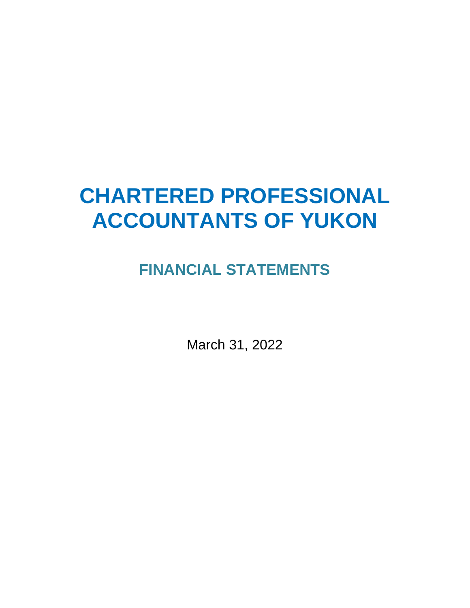# **CHARTERED PROFESSIONAL ACCOUNTANTS OF YUKON**

## **FINANCIAL STATEMENTS**

March 31, 2022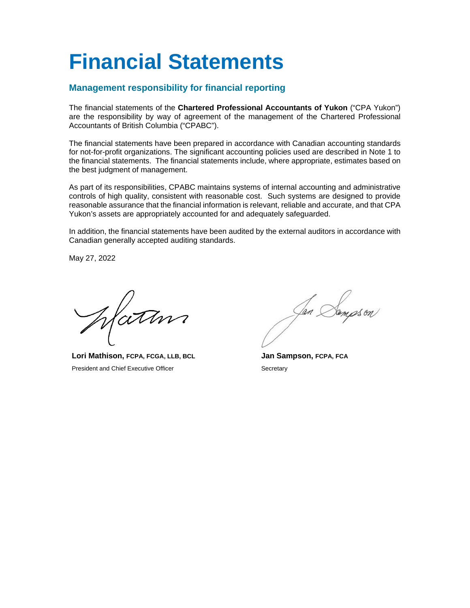## **Financial Statements**

#### **Management responsibility for financial reporting**

The financial statements of the **Chartered Professional Accountants of Yukon** ("CPA Yukon") are the responsibility by way of agreement of the management of the Chartered Professional Accountants of British Columbia ("CPABC").

The financial statements have been prepared in accordance with Canadian accounting standards for not-for-profit organizations. The significant accounting policies used are described in Note 1 to the financial statements. The financial statements include, where appropriate, estimates based on the best judgment of management.

As part of its responsibilities, CPABC maintains systems of internal accounting and administrative controls of high quality, consistent with reasonable cost. Such systems are designed to provide reasonable assurance that the financial information is relevant, reliable and accurate, and that CPA Yukon's assets are appropriately accounted for and adequately safeguarded.

In addition, the financial statements have been audited by the external auditors in accordance with Canadian generally accepted auditing standards.

May 27, 2022

Patin

**Lori Mathison, FCPA, FCGA, LLB, BCL** President and Chief Executive Officer

**Jan Sampson, FCPA, FCA Secretary**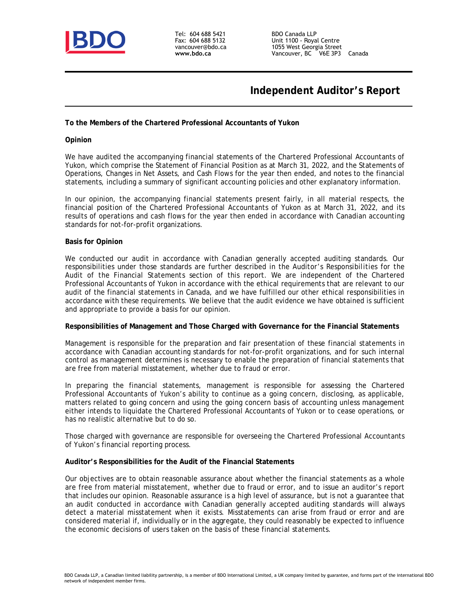

Tel: 604 688 5421 Fax: 604 688 5132 vancouver@bdo.ca **www.bdo.ca**

BDO Canada LLP Unit 1100 - Royal Centre 1055 West Georgia Street Vancouver, BC V6E 3P3 Canada

## **Independent Auditor's Report**

**To the Members of the Chartered Professional Accountants of Yukon**

**Opinion**

We have audited the accompanying financial statements of the Chartered Professional Accountants of Yukon, which comprise the Statement of Financial Position as at March 31, 2022, and the Statements of Operations, Changes in Net Assets, and Cash Flows for the year then ended, and notes to the financial statements, including a summary of significant accounting policies and other explanatory information.

In our opinion, the accompanying financial statements present fairly, in all material respects, the financial position of the Chartered Professional Accountants of Yukon as at March 31, 2022, and its results of operations and cash flows for the year then ended in accordance with Canadian accounting standards for not-for-profit organizations.

#### **Basis for Opinion**

We conducted our audit in accordance with Canadian generally accepted auditing standards. Our responsibilities under those standards are further described in the *Auditor's Responsibilities for the Audit of the Financial Statements* section of this report. We are independent of the Chartered Professional Accountants of Yukon in accordance with the ethical requirements that are relevant to our audit of the financial statements in Canada, and we have fulfilled our other ethical responsibilities in accordance with these requirements. We believe that the audit evidence we have obtained is sufficient and appropriate to provide a basis for our opinion.

**Responsibilities of Management and Those Charged with Governance for the Financial Statements**

Management is responsible for the preparation and fair presentation of these financial statements in accordance with Canadian accounting standards for not-for-profit organizations, and for such internal control as management determines is necessary to enable the preparation of financial statements that are free from material misstatement, whether due to fraud or error.

In preparing the financial statements, management is responsible for assessing the Chartered Professional Accountants of Yukon's ability to continue as a going concern, disclosing, as applicable, matters related to going concern and using the going concern basis of accounting unless management either intends to liquidate the Chartered Professional Accountants of Yukon or to cease operations, or has no realistic alternative but to do so.

Those charged with governance are responsible for overseeing the Chartered Professional Accountants of Yukon's financial reporting process.

**Auditor's Responsibilities for the Audit of the Financial Statements**

Our objectives are to obtain reasonable assurance about whether the financial statements as a whole are free from material misstatement, whether due to fraud or error, and to issue an auditor's report that includes our opinion. Reasonable assurance is a high level of assurance, but is not a guarantee that an audit conducted in accordance with Canadian generally accepted auditing standards will always detect a material misstatement when it exists. Misstatements can arise from fraud or error and are considered material if, individually or in the aggregate, they could reasonably be expected to influence the economic decisions of users taken on the basis of these financial statements.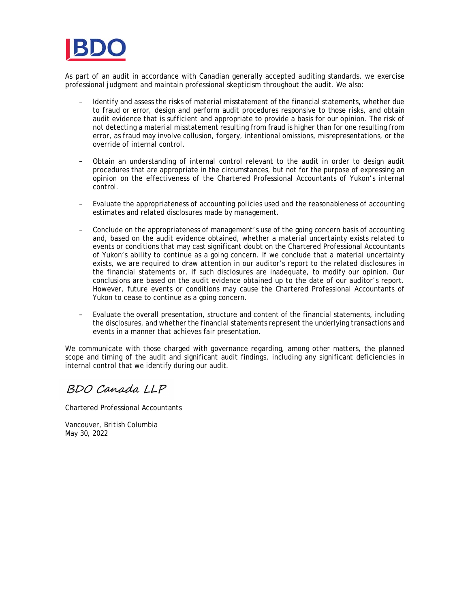

As part of an audit in accordance with Canadian generally accepted auditing standards, we exercise professional judgment and maintain professional skepticism throughout the audit. We also:

- Identify and assess the risks of material misstatement of the financial statements, whether due to fraud or error, design and perform audit procedures responsive to those risks, and obtain audit evidence that is sufficient and appropriate to provide a basis for our opinion. The risk of not detecting a material misstatement resulting from fraud is higher than for one resulting from error, as fraud may involve collusion, forgery, intentional omissions, misrepresentations, or the override of internal control.
- Obtain an understanding of internal control relevant to the audit in order to design audit procedures that are appropriate in the circumstances, but not for the purpose of expressing an opinion on the effectiveness of the Chartered Professional Accountants of Yukon's internal control.
- Evaluate the appropriateness of accounting policies used and the reasonableness of accounting estimates and related disclosures made by management.
- Conclude on the appropriateness of management's use of the going concern basis of accounting and, based on the audit evidence obtained, whether a material uncertainty exists related to events or conditions that may cast significant doubt on the Chartered Professional Accountants of Yukon's ability to continue as a going concern. If we conclude that a material uncertainty exists, we are required to draw attention in our auditor's report to the related disclosures in the financial statements or, if such disclosures are inadequate, to modify our opinion. Our conclusions are based on the audit evidence obtained up to the date of our auditor's report. However, future events or conditions may cause the Chartered Professional Accountants of Yukon to cease to continue as a going concern.
- Evaluate the overall presentation, structure and content of the financial statements, including the disclosures, and whether the financial statements represent the underlying transactions and events in a manner that achieves fair presentation.

We communicate with those charged with governance regarding, among other matters, the planned scope and timing of the audit and significant audit findings, including any significant deficiencies in internal control that we identify during our audit.

BDO Canada LLP

Chartered Professional Accountants

Vancouver, British Columbia May 30, 2022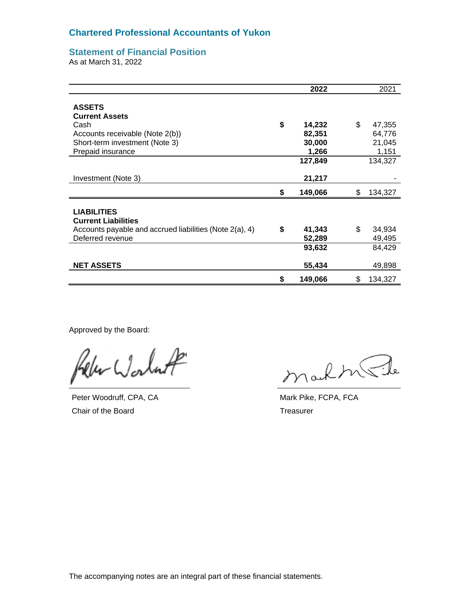#### **Chartered Professional Accountants of Yukon**

#### **Statement of Financial Position**

As at March 31, 2022

|                                                                                                                | 2022          |     | 2021    |
|----------------------------------------------------------------------------------------------------------------|---------------|-----|---------|
| <b>ASSETS</b><br><b>Current Assets</b>                                                                         |               |     |         |
| Cash                                                                                                           | \$<br>14,232  | \$. | 47,355  |
| Accounts receivable (Note 2(b))                                                                                | 82,351        |     | 64,776  |
| Short-term investment (Note 3)                                                                                 | 30,000        |     | 21,045  |
| Prepaid insurance                                                                                              | 1,266         |     | 1,151   |
|                                                                                                                | 127,849       |     | 134,327 |
| Investment (Note 3)                                                                                            | 21,217        |     |         |
|                                                                                                                | \$<br>149,066 | S   | 134,327 |
| <b>LIABILITIES</b><br><b>Current Liabilities</b><br>Accounts payable and accrued liabilities (Note $2(a)$ , 4) | \$<br>41,343  | \$  | 34,934  |
| Deferred revenue                                                                                               | 52,289        |     | 49,495  |
|                                                                                                                | 93,632        |     | 84,429  |
| <b>NET ASSETS</b>                                                                                              | 55,434        |     | 49,898  |
|                                                                                                                | \$<br>149,066 | S   | 134,327 |

Approved by the Board:

Worlast

Peter Woodruff, CPA, CA Chair of the Board

markstrit

Mark Pike, FCPA, FCA **Treasurer**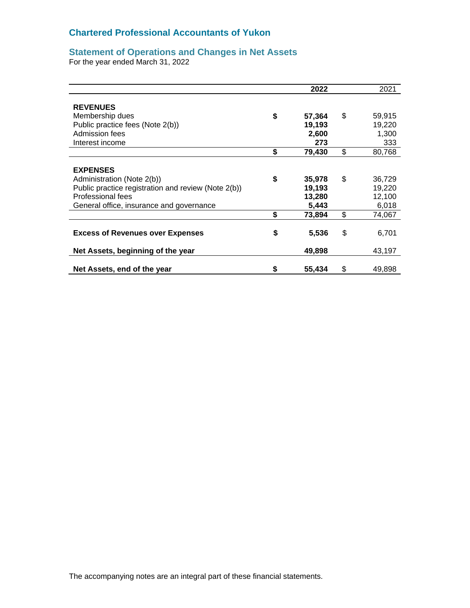#### **Chartered Professional Accountants of Yukon**

#### **Statement of Operations and Changes in Net Assets**

For the year ended March 31, 2022

|                                                     | 2022         | 2021         |
|-----------------------------------------------------|--------------|--------------|
|                                                     |              |              |
| <b>REVENUES</b>                                     |              |              |
| Membership dues                                     | \$<br>57,364 | \$<br>59,915 |
| Public practice fees (Note 2(b))                    | 19,193       | 19,220       |
| Admission fees                                      | 2,600        | 1,300        |
| Interest income                                     | 273          | 333          |
|                                                     | \$<br>79,430 | \$<br>80,768 |
|                                                     |              |              |
| <b>EXPENSES</b>                                     |              |              |
| Administration (Note 2(b))                          | \$<br>35,978 | \$<br>36,729 |
| Public practice registration and review (Note 2(b)) | 19,193       | 19,220       |
| Professional fees                                   | 13,280       | 12,100       |
| General office, insurance and governance            | 5,443        | 6,018        |
|                                                     | \$<br>73,894 | \$<br>74,067 |
|                                                     |              |              |
| <b>Excess of Revenues over Expenses</b>             | \$<br>5,536  | \$<br>6,701  |
| Net Assets, beginning of the year                   | 49,898       | 43,197       |
|                                                     |              |              |
| Net Assets, end of the year                         | \$<br>55,434 | \$<br>49,898 |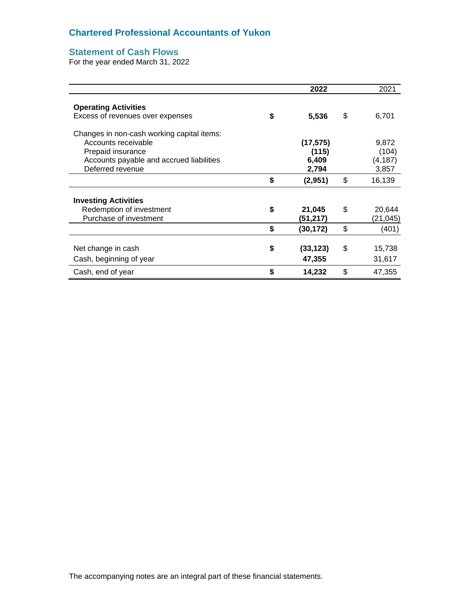### **Chartered Professional Accountants of Yukon**

### **Statement of Cash Flows**

For the year ended March 31, 2022

|                                            | 2022            | 2021         |
|--------------------------------------------|-----------------|--------------|
| <b>Operating Activities</b>                |                 |              |
| Excess of revenues over expenses           | \$<br>5,536     | \$<br>6,701  |
| Changes in non-cash working capital items: |                 |              |
| Accounts receivable                        | (17, 575)       | 9,872        |
| Prepaid insurance                          | (115)           | (104)        |
| Accounts payable and accrued liabilities   | 6,409           | (4, 187)     |
| Deferred revenue                           | 2,794           | 3,857        |
|                                            | \$<br>(2,951)   | \$<br>16,139 |
| <b>Investing Activities</b>                |                 |              |
| Redemption of investment                   | \$<br>21,045    | \$<br>20,644 |
| Purchase of investment                     | (51,217)        | (21,045)     |
|                                            | \$<br>(30, 172) | \$<br>(401)  |
|                                            |                 |              |
| Net change in cash                         | \$<br>(33, 123) | \$<br>15,738 |
| Cash, beginning of year                    | 47,355          | 31,617       |
| Cash, end of year                          | \$<br>14,232    | \$<br>47,355 |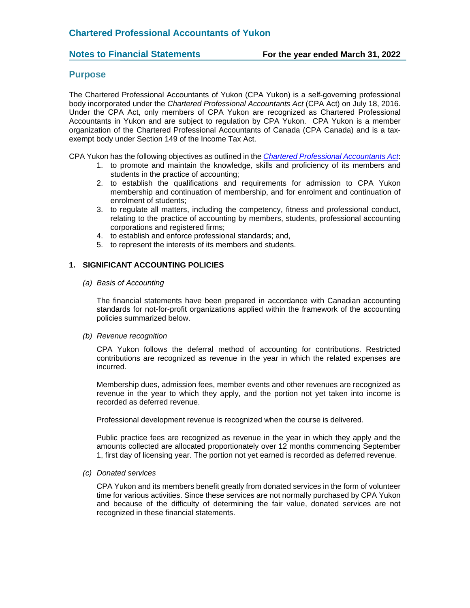#### **Purpose**

The Chartered Professional Accountants of Yukon (CPA Yukon) is a self-governing professional body incorporated under the *Chartered Professional Accountants Act* (CPA Act) on July 18, 2016. Under the CPA Act, only members of CPA Yukon are recognized as Chartered Professional Accountants in Yukon and are subject to regulation by CPA Yukon. CPA Yukon is a member organization of the Chartered Professional Accountants of Canada (CPA Canada) and is a taxexempt body under Section 149 of the Income Tax Act.

CPA Yukon has the following objectives as outlined in the *[Chartered Professional Accountants Act](https://legislation.yukon.ca/acts/cpa_c.pdf)*:

- 1. to promote and maintain the knowledge, skills and proficiency of its members and students in the practice of accounting;
- 2. to establish the qualifications and requirements for admission to CPA Yukon membership and continuation of membership, and for enrolment and continuation of enrolment of students;
- 3. to regulate all matters, including the competency, fitness and professional conduct, relating to the practice of accounting by members, students, professional accounting corporations and registered firms;
- 4. to establish and enforce professional standards; and,
- 5. to represent the interests of its members and students.

#### **1. SIGNIFICANT ACCOUNTING POLICIES**

#### *(a) Basis of Accounting*

The financial statements have been prepared in accordance with Canadian accounting standards for not-for-profit organizations applied within the framework of the accounting policies summarized below.

#### *(b) Revenue recognition*

CPA Yukon follows the deferral method of accounting for contributions. Restricted contributions are recognized as revenue in the year in which the related expenses are incurred.

Membership dues, admission fees, member events and other revenues are recognized as revenue in the year to which they apply, and the portion not yet taken into income is recorded as deferred revenue.

Professional development revenue is recognized when the course is delivered.

Public practice fees are recognized as revenue in the year in which they apply and the amounts collected are allocated proportionately over 12 months commencing September 1, first day of licensing year. The portion not yet earned is recorded as deferred revenue.

#### *(c) Donated services*

CPA Yukon and its members benefit greatly from donated services in the form of volunteer time for various activities. Since these services are not normally purchased by CPA Yukon and because of the difficulty of determining the fair value, donated services are not recognized in these financial statements.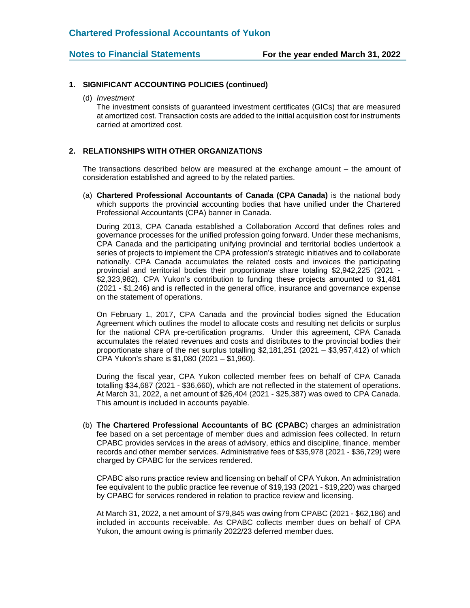#### **1. SIGNIFICANT ACCOUNTING POLICIES (continued)**

(d) *Investment*

The investment consists of guaranteed investment certificates (GICs) that are measured at amortized cost. Transaction costs are added to the initial acquisition cost for instruments carried at amortized cost.

#### **2. RELATIONSHIPS WITH OTHER ORGANIZATIONS**

The transactions described below are measured at the exchange amount – the amount of consideration established and agreed to by the related parties.

(a) **Chartered Professional Accountants of Canada (CPA Canada)** is the national body which supports the provincial accounting bodies that have unified under the Chartered Professional Accountants (CPA) banner in Canada.

During 2013, CPA Canada established a Collaboration Accord that defines roles and governance processes for the unified profession going forward. Under these mechanisms, CPA Canada and the participating unifying provincial and territorial bodies undertook a series of projects to implement the CPA profession's strategic initiatives and to collaborate nationally. CPA Canada accumulates the related costs and invoices the participating provincial and territorial bodies their proportionate share totaling \$2,942,225 (2021 - \$2,323,982). CPA Yukon's contribution to funding these projects amounted to \$1,481 (2021 - \$1,246) and is reflected in the general office, insurance and governance expense on the statement of operations.

On February 1, 2017, CPA Canada and the provincial bodies signed the Education Agreement which outlines the model to allocate costs and resulting net deficits or surplus for the national CPA pre-certification programs. Under this agreement, CPA Canada accumulates the related revenues and costs and distributes to the provincial bodies their proportionate share of the net surplus totalling \$2,181,251 (2021 – \$3,957,412) of which CPA Yukon's share is \$1,080 (2021 – \$1,960).

During the fiscal year, CPA Yukon collected member fees on behalf of CPA Canada totalling \$34,687 (2021 - \$36,660), which are not reflected in the statement of operations. At March 31, 2022, a net amount of \$26,404 (2021 - \$25,387) was owed to CPA Canada. This amount is included in accounts payable.

(b) **The Chartered Professional Accountants of BC (CPABC**) charges an administration fee based on a set percentage of member dues and admission fees collected. In return CPABC provides services in the areas of advisory, ethics and discipline, finance, member records and other member services. Administrative fees of \$35,978 (2021 - \$36,729) were charged by CPABC for the services rendered.

CPABC also runs practice review and licensing on behalf of CPA Yukon. An administration fee equivalent to the public practice fee revenue of \$19,193 (2021 - \$19,220) was charged by CPABC for services rendered in relation to practice review and licensing.

At March 31, 2022, a net amount of \$79,845 was owing from CPABC (2021 - \$62,186) and included in accounts receivable. As CPABC collects member dues on behalf of CPA Yukon, the amount owing is primarily 2022/23 deferred member dues.